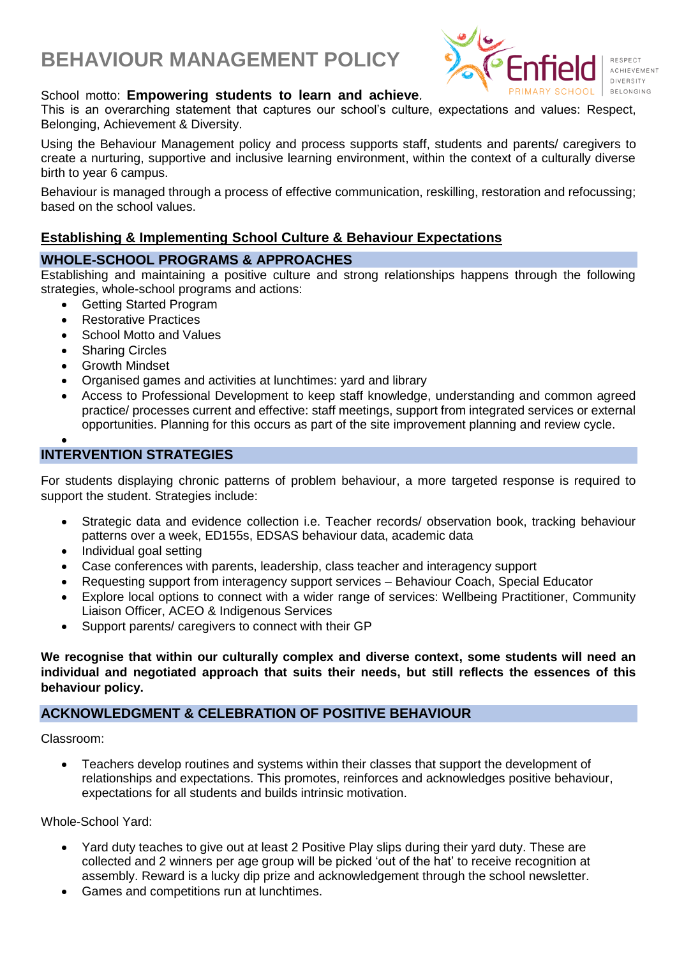# **BEHAVIOUR MANAGEMENT POLICY**



## School motto: **Empowering students to learn and achieve***.*

This is an overarching statement that captures our school's culture, expectations and values: Respect, Belonging, Achievement & Diversity.

Using the Behaviour Management policy and process supports staff, students and parents/ caregivers to create a nurturing, supportive and inclusive learning environment, within the context of a culturally diverse birth to year 6 campus.

Behaviour is managed through a process of effective communication, reskilling, restoration and refocussing; based on the school values.

## **Establishing & Implementing School Culture & Behaviour Expectations**

## **WHOLE-SCHOOL PROGRAMS & APPROACHES**

Establishing and maintaining a positive culture and strong relationships happens through the following strategies, whole-school programs and actions:

- Getting Started Program
- Restorative Practices
- School Motto and Values
- **Sharing Circles**
- Growth Mindset
- Organised games and activities at lunchtimes: yard and library
- Access to Professional Development to keep staff knowledge, understanding and common agreed practice/ processes current and effective: staff meetings, support from integrated services or external opportunities. Planning for this occurs as part of the site improvement planning and review cycle.

#### • **INTERVENTION STRATEGIES**

For students displaying chronic patterns of problem behaviour, a more targeted response is required to support the student. Strategies include:

- Strategic data and evidence collection i.e. Teacher records/ observation book, tracking behaviour patterns over a week, ED155s, EDSAS behaviour data, academic data
- Individual goal setting
- Case conferences with parents, leadership, class teacher and interagency support
- Requesting support from interagency support services Behaviour Coach, Special Educator
- Explore local options to connect with a wider range of services: Wellbeing Practitioner, Community Liaison Officer, ACEO & Indigenous Services
- Support parents/ caregivers to connect with their GP

**We recognise that within our culturally complex and diverse context, some students will need an individual and negotiated approach that suits their needs, but still reflects the essences of this behaviour policy.**

## **ACKNOWLEDGMENT & CELEBRATION OF POSITIVE BEHAVIOUR**

Classroom:

• Teachers develop routines and systems within their classes that support the development of relationships and expectations. This promotes, reinforces and acknowledges positive behaviour, expectations for all students and builds intrinsic motivation.

Whole-School Yard:

- Yard duty teaches to give out at least 2 Positive Play slips during their yard duty. These are collected and 2 winners per age group will be picked 'out of the hat' to receive recognition at assembly. Reward is a lucky dip prize and acknowledgement through the school newsletter.
- Games and competitions run at lunchtimes.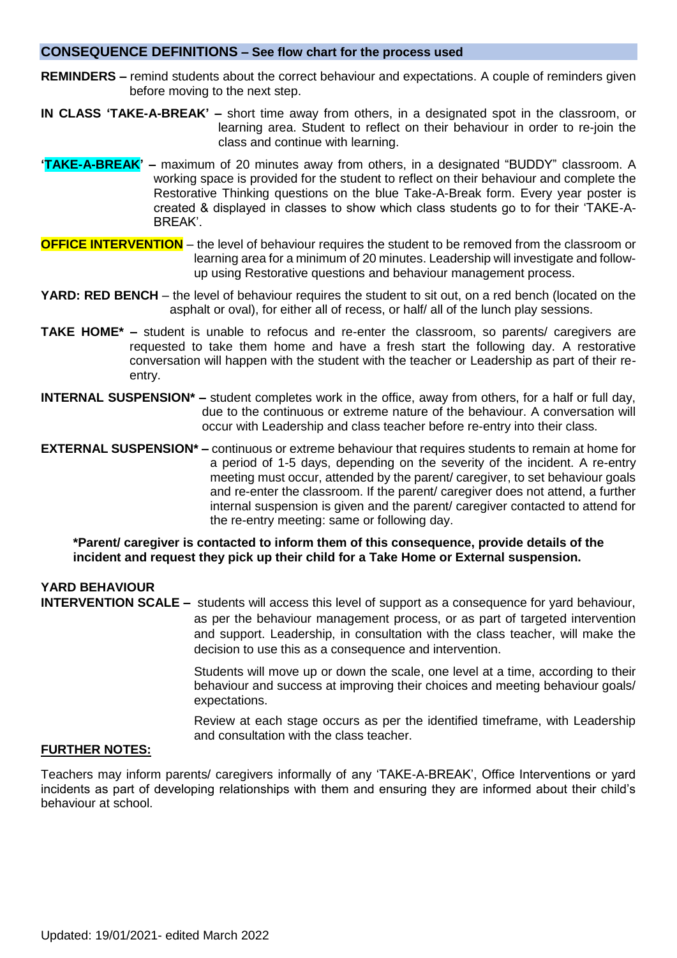### **CONSEQUENCE DEFINITIONS – See flow chart for the process used**

- **REMINDERS –** remind students about the correct behaviour and expectations. A couple of reminders given before moving to the next step.
- **IN CLASS 'TAKE-A-BREAK' –** short time away from others, in a designated spot in the classroom, or learning area. Student to reflect on their behaviour in order to re-join the class and continue with learning.
- **'TAKE-A-BREAK' –** maximum of 20 minutes away from others, in a designated "BUDDY" classroom. A working space is provided for the student to reflect on their behaviour and complete the Restorative Thinking questions on the blue Take-A-Break form. Every year poster is created & displayed in classes to show which class students go to for their 'TAKE-A-BREAK'.
- **OFFICE INTERVENTION** the level of behaviour requires the student to be removed from the classroom or learning area for a minimum of 20 minutes. Leadership will investigate and followup using Restorative questions and behaviour management process.
- **YARD: RED BENCH** the level of behaviour requires the student to sit out, on a red bench (located on the asphalt or oval), for either all of recess, or half/ all of the lunch play sessions.
- **TAKE HOME\* –** student is unable to refocus and re-enter the classroom, so parents/ caregivers are requested to take them home and have a fresh start the following day. A restorative conversation will happen with the student with the teacher or Leadership as part of their reentry.
- **INTERNAL SUSPENSION\* –** student completes work in the office, away from others, for a half or full day, due to the continuous or extreme nature of the behaviour. A conversation will occur with Leadership and class teacher before re-entry into their class.
- **EXTERNAL SUSPENSION\* –** continuous or extreme behaviour that requires students to remain at home for a period of 1-5 days, depending on the severity of the incident. A re-entry meeting must occur, attended by the parent/ caregiver, to set behaviour goals and re-enter the classroom. If the parent/ caregiver does not attend, a further internal suspension is given and the parent/ caregiver contacted to attend for the re-entry meeting: same or following day.

**\*Parent/ caregiver is contacted to inform them of this consequence, provide details of the incident and request they pick up their child for a Take Home or External suspension.**

## **YARD BEHAVIOUR**

**INTERVENTION SCALE –** students will access this level of support as a consequence for yard behaviour, as per the behaviour management process, or as part of targeted intervention and support. Leadership, in consultation with the class teacher, will make the decision to use this as a consequence and intervention.

> Students will move up or down the scale, one level at a time, according to their behaviour and success at improving their choices and meeting behaviour goals/ expectations.

> Review at each stage occurs as per the identified timeframe, with Leadership and consultation with the class teacher.

## **FURTHER NOTES:**

Teachers may inform parents/ caregivers informally of any 'TAKE-A-BREAK', Office Interventions or yard incidents as part of developing relationships with them and ensuring they are informed about their child's behaviour at school.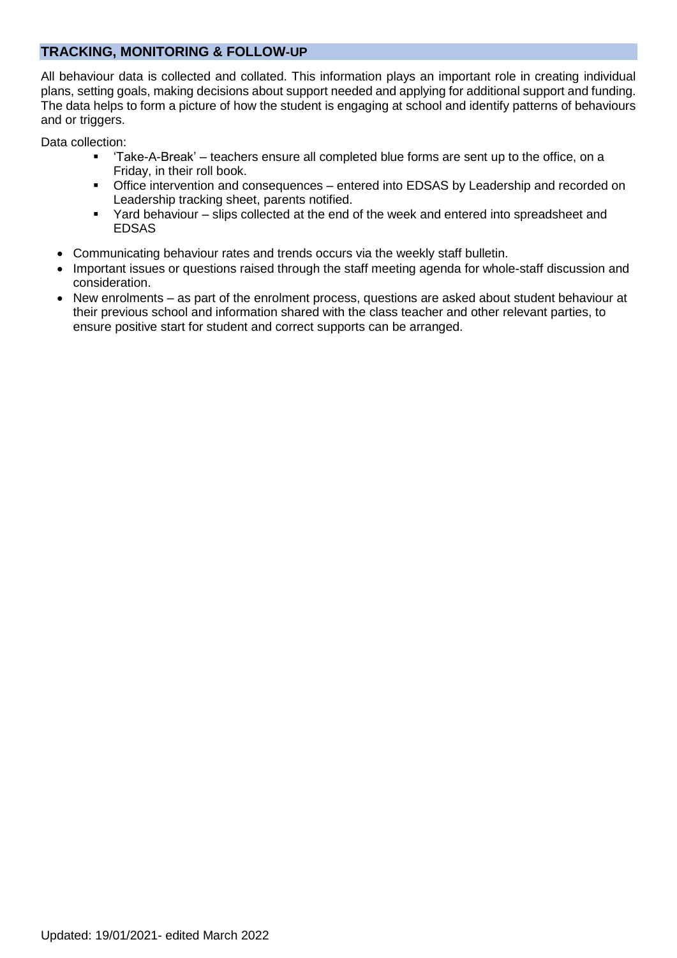## **TRACKING, MONITORING & FOLLOW-UP**

All behaviour data is collected and collated. This information plays an important role in creating individual plans, setting goals, making decisions about support needed and applying for additional support and funding. The data helps to form a picture of how the student is engaging at school and identify patterns of behaviours and or triggers.

Data collection:

- 'Take-A-Break' teachers ensure all completed blue forms are sent up to the office, on a Friday, in their roll book.
- **•** Office intervention and consequences entered into EDSAS by Leadership and recorded on Leadership tracking sheet, parents notified.
- Yard behaviour slips collected at the end of the week and entered into spreadsheet and EDSAS
- Communicating behaviour rates and trends occurs via the weekly staff bulletin.
- Important issues or questions raised through the staff meeting agenda for whole-staff discussion and consideration.
- New enrolments as part of the enrolment process, questions are asked about student behaviour at their previous school and information shared with the class teacher and other relevant parties, to ensure positive start for student and correct supports can be arranged.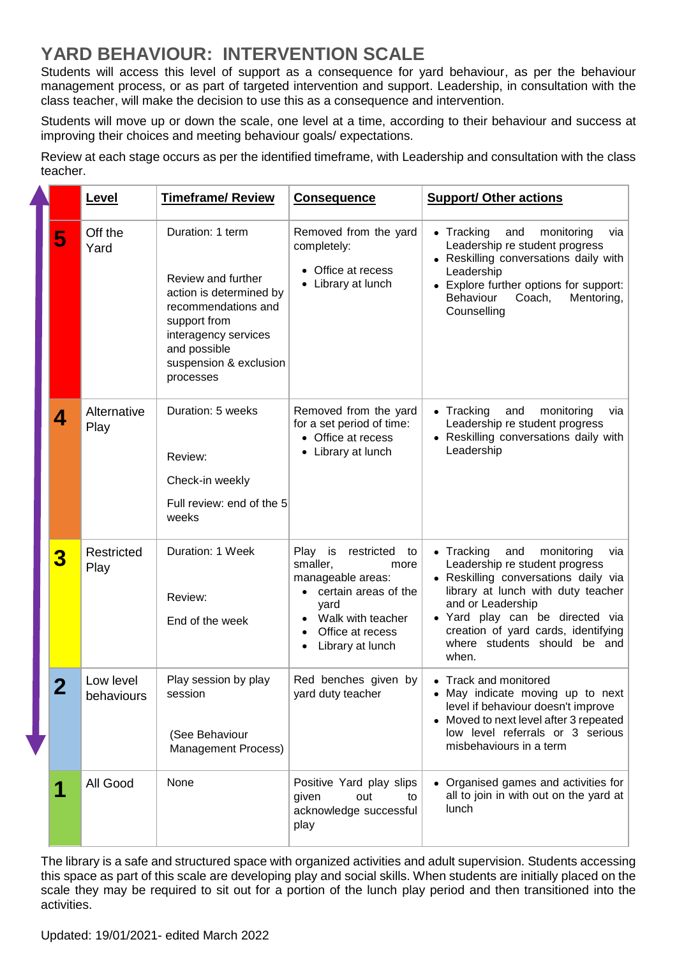# **YARD BEHAVIOUR: INTERVENTION SCALE**

Students will access this level of support as a consequence for yard behaviour, as per the behaviour management process, or as part of targeted intervention and support. Leadership, in consultation with the class teacher, will make the decision to use this as a consequence and intervention.

Students will move up or down the scale, one level at a time, according to their behaviour and success at improving their choices and meeting behaviour goals/ expectations.

Review at each stage occurs as per the identified timeframe, with Leadership and consultation with the class teacher.

|  |   | Level                   | <b>Timeframe/ Review</b>                                                                                                                                                                | <b>Consequence</b>                                                                                                                                                               | <b>Support/ Other actions</b>                                                                                                                                                                                                                                                                          |
|--|---|-------------------------|-----------------------------------------------------------------------------------------------------------------------------------------------------------------------------------------|----------------------------------------------------------------------------------------------------------------------------------------------------------------------------------|--------------------------------------------------------------------------------------------------------------------------------------------------------------------------------------------------------------------------------------------------------------------------------------------------------|
|  | 5 | Off the<br>Yard         | Duration: 1 term<br>Review and further<br>action is determined by<br>recommendations and<br>support from<br>interagency services<br>and possible<br>suspension & exclusion<br>processes | Removed from the yard<br>completely:<br>• Office at recess<br>• Library at lunch                                                                                                 | $\bullet$ Tracking<br>and<br>monitoring<br>via<br>Leadership re student progress<br>• Reskilling conversations daily with<br>Leadership<br>• Explore further options for support:<br>Behaviour<br>Coach,<br>Mentoring,<br>Counselling                                                                  |
|  | 4 | Alternative<br>Play     | Duration: 5 weeks<br>Review:<br>Check-in weekly<br>Full review: end of the 5<br>weeks                                                                                                   | Removed from the yard<br>for a set period of time:<br>• Office at recess<br>• Library at lunch                                                                                   | $\bullet$ Tracking<br>and<br>monitoring<br>via<br>Leadership re student progress<br>• Reskilling conversations daily with<br>Leadership                                                                                                                                                                |
|  | 3 | Restricted<br>Play      | Duration: 1 Week<br>Review:<br>End of the week                                                                                                                                          | Play is<br>restricted<br>to<br>smaller,<br>more<br>manageable areas:<br>• certain areas of the<br>yard<br>Walk with teacher<br>Office at recess<br>$\bullet$<br>Library at lunch | $\bullet$ Tracking<br>and<br>monitoring<br>via<br>Leadership re student progress<br>• Reskilling conversations daily via<br>library at lunch with duty teacher<br>and or Leadership<br>· Yard play can be directed via<br>creation of yard cards, identifying<br>where students should be and<br>when. |
|  |   | Low level<br>behaviours | Play session by play<br>session<br>(See Behaviour<br>Management Process)                                                                                                                | Red benches given by<br>yard duty teacher                                                                                                                                        | • Track and monitored<br>• May indicate moving up to next<br>level if behaviour doesn't improve<br>• Moved to next level after 3 repeated<br>low level referrals or 3 serious<br>misbehaviours in a term                                                                                               |
|  |   | All Good                | None                                                                                                                                                                                    | Positive Yard play slips<br>given<br>out<br>to<br>acknowledge successful<br>play                                                                                                 | • Organised games and activities for<br>all to join in with out on the yard at<br>lunch                                                                                                                                                                                                                |

The library is a safe and structured space with organized activities and adult supervision. Students accessing this space as part of this scale are developing play and social skills. When students are initially placed on the scale they may be required to sit out for a portion of the lunch play period and then transitioned into the activities.